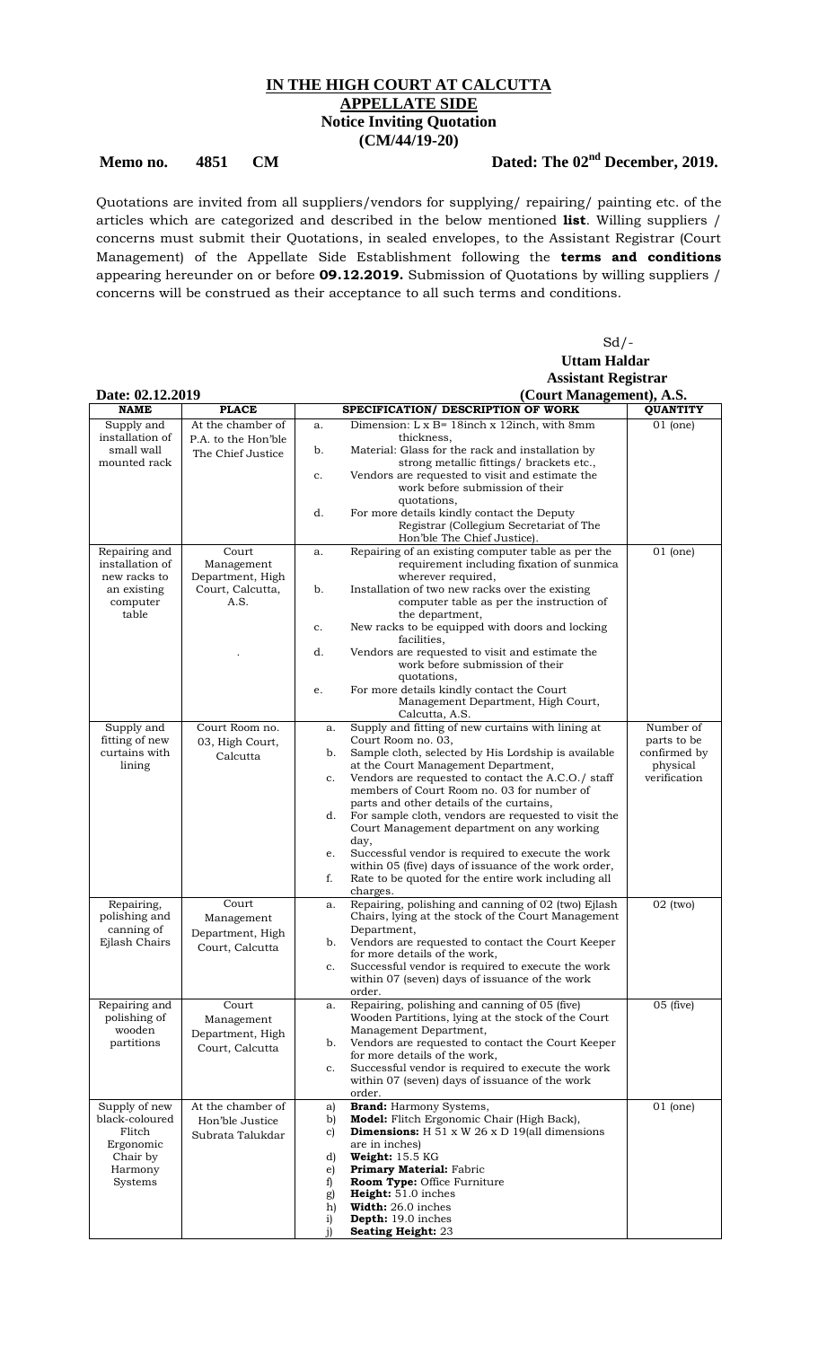## **IN THE HIGH COURT AT CALCUTTA APPELLATE SIDE Notice Inviting Quotation (CM/44/19-20)**

## Memo no. 4851 CM Dated: The 02<sup>nd</sup> December, 2019.

 $Sd$  /-

Quotations are invited from all suppliers/vendors for supplying/ repairing/ painting etc. of the articles which are categorized and described in the below mentioned **list**. Willing suppliers / concerns must submit their Quotations, in sealed envelopes, to the Assistant Registrar (Court Management) of the Appellate Side Establishment following the **terms and conditions** appearing hereunder on or before **09.12.2019.** Submission of Quotations by willing suppliers / concerns will be construed as their acceptance to all such terms and conditions.

|                                              |                          | <b>Uttam Haldar</b>                                                                                             |                       |  |
|----------------------------------------------|--------------------------|-----------------------------------------------------------------------------------------------------------------|-----------------------|--|
|                                              |                          | <b>Assistant Registrar</b>                                                                                      |                       |  |
| Date: 02.12.2019<br>(Court Management), A.S. |                          |                                                                                                                 |                       |  |
| <b>NAME</b>                                  | <b>PLACE</b>             | SPECIFICATION/ DESCRIPTION OF WORK                                                                              | <b>QUANTITY</b>       |  |
| Supply and                                   | At the chamber of        | Dimension: L x B= 18 inch x 12 inch, with 8 mm<br>a.                                                            | $01$ (one)            |  |
| installation of                              | P.A. to the Hon'ble      | thickness.                                                                                                      |                       |  |
| small wall                                   | The Chief Justice        | Material: Glass for the rack and installation by<br>b.                                                          |                       |  |
| mounted rack                                 |                          | strong metallic fittings/ brackets etc.,<br>Vendors are requested to visit and estimate the<br>c.               |                       |  |
|                                              |                          | work before submission of their                                                                                 |                       |  |
|                                              |                          | quotations,                                                                                                     |                       |  |
|                                              |                          | For more details kindly contact the Deputy<br>d.                                                                |                       |  |
|                                              |                          | Registrar (Collegium Secretariat of The<br>Hon'ble The Chief Justice).                                          |                       |  |
| Repairing and                                | Court                    | Repairing of an existing computer table as per the<br>a.                                                        | $\overline{0}1$ (one) |  |
| installation of                              | Management               | requirement including fixation of sunmica                                                                       |                       |  |
| new racks to                                 | Department, High         | wherever required,                                                                                              |                       |  |
| an existing<br>computer                      | Court, Calcutta,<br>A.S. | Installation of two new racks over the existing<br>b.<br>computer table as per the instruction of               |                       |  |
| table                                        |                          | the department,                                                                                                 |                       |  |
|                                              |                          | New racks to be equipped with doors and locking<br>c.                                                           |                       |  |
|                                              |                          | facilities,                                                                                                     |                       |  |
|                                              |                          | d.<br>Vendors are requested to visit and estimate the<br>work before submission of their                        |                       |  |
|                                              |                          | quotations,                                                                                                     |                       |  |
|                                              |                          | For more details kindly contact the Court<br>e.                                                                 |                       |  |
|                                              |                          | Management Department, High Court,                                                                              |                       |  |
|                                              | Court Room no.           | Calcutta, A.S.                                                                                                  | Number of             |  |
| Supply and<br>fitting of new                 | 03, High Court,          | Supply and fitting of new curtains with lining at<br>a.<br>Court Room no. 03,                                   | parts to be           |  |
| curtains with                                | Calcutta                 | Sample cloth, selected by His Lordship is available<br>b.                                                       | confirmed by          |  |
| lining                                       |                          | at the Court Management Department,                                                                             | physical              |  |
|                                              |                          | Vendors are requested to contact the A.C.O./ staff<br>c.                                                        | verification          |  |
|                                              |                          | members of Court Room no. 03 for number of<br>parts and other details of the curtains,                          |                       |  |
|                                              |                          | d.<br>For sample cloth, vendors are requested to visit the                                                      |                       |  |
|                                              |                          | Court Management department on any working                                                                      |                       |  |
|                                              |                          | day,                                                                                                            |                       |  |
|                                              |                          | Successful vendor is required to execute the work<br>e.<br>within 05 (five) days of issuance of the work order, |                       |  |
|                                              |                          | f.<br>Rate to be quoted for the entire work including all                                                       |                       |  |
|                                              |                          | charges.                                                                                                        |                       |  |
| Repairing,                                   | Court                    | Repairing, polishing and canning of 02 (two) Ejlash<br>a.                                                       | $02$ (two)            |  |
| polishing and                                | Management               | Chairs, lying at the stock of the Court Management                                                              |                       |  |
| canning of<br>Ejlash Chairs                  | Department, High         | Department,<br>Vendors are requested to contact the Court Keeper<br>b.                                          |                       |  |
|                                              | Court, Calcutta          | for more details of the work,                                                                                   |                       |  |
|                                              |                          | Successful vendor is required to execute the work<br>c.                                                         |                       |  |
|                                              |                          | within 07 (seven) days of issuance of the work                                                                  |                       |  |
| Repairing and                                | Court                    | order.<br>Repairing, polishing and canning of 05 (five)<br>a.                                                   | $05$ (five)           |  |
| polishing of                                 | Management               | Wooden Partitions, lying at the stock of the Court                                                              |                       |  |
| wooden                                       | Department, High         | Management Department,                                                                                          |                       |  |
| partitions                                   | Court, Calcutta          | Vendors are requested to contact the Court Keeper<br>b.                                                         |                       |  |
|                                              |                          | for more details of the work,<br>Successful vendor is required to execute the work<br>c.                        |                       |  |
|                                              |                          | within 07 (seven) days of issuance of the work                                                                  |                       |  |
|                                              |                          | order.                                                                                                          |                       |  |
| Supply of new                                | At the chamber of        | <b>Brand:</b> Harmony Systems,<br>a)                                                                            | $01$ (one)            |  |
| black-coloured<br>Flitch                     | Hon'ble Justice          | Model: Flitch Ergonomic Chair (High Back),<br>b)                                                                |                       |  |
| Ergonomic                                    | Subrata Talukdar         | <b>Dimensions:</b> H 51 x W 26 x D 19(all dimensions<br>C)<br>are in inches)                                    |                       |  |
| Chair by                                     |                          | Weight: 15.5 KG<br>d)                                                                                           |                       |  |
| Harmony                                      |                          | <b>Primary Material: Fabric</b><br>e)                                                                           |                       |  |
| Systems                                      |                          | Room Type: Office Furniture<br>f)                                                                               |                       |  |
|                                              |                          | Height: 51.0 inches<br>g)<br><b>Width:</b> 26.0 inches<br>h)                                                    |                       |  |
|                                              |                          | i)<br><b>Depth:</b> 19.0 inches                                                                                 |                       |  |

j) **Seating Height:** 23